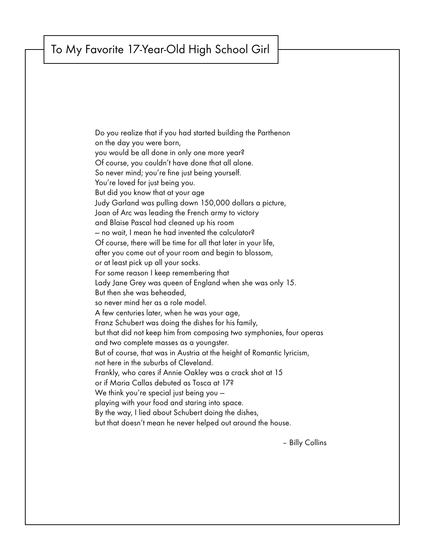## To My Favorite 17-Year-Old High School Girl

Do you realize that if you had started building the Parthenon on the day you were born, you would be all done in only one more year? Of course, you couldn't have done that all alone. So never mind; you're fine just being yourself. You're loved for just being you. But did you know that at your age Judy Garland was pulling down 150,000 dollars a picture, Joan of Arc was leading the French army to victory and Blaise Pascal had cleaned up his room — no wait, I mean he had invented the calculator? Of course, there will be time for all that later in your life, after you come out of your room and begin to blossom, or at least pick up all your socks. For some reason I keep remembering that Lady Jane Grey was queen of England when she was only 15. But then she was beheaded, so never mind her as a role model. A few centuries later, when he was your age, Franz Schubert was doing the dishes for his family, but that did not keep him from composing two symphonies, four operas and two complete masses as a youngster. But of course, that was in Austria at the height of Romantic lyricism, not here in the suburbs of Cleveland. Frankly, who cares if Annie Oakley was a crack shot at 15 or if Maria Callas debuted as Tosca at 17? We think you're special just being you playing with your food and staring into space. By the way, I lied about Schubert doing the dishes, but that doesn't mean he never helped out around the house.

– Billy Collins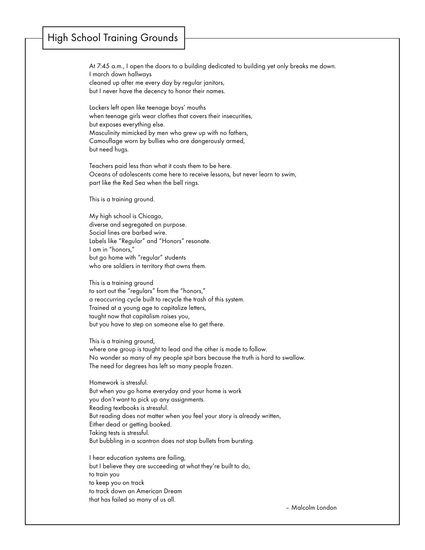## High School Training Grounds

At 7:45 a.m., I open the doors to a building dedicated to building yet only breaks me down. I march down hallways cleaned up after me every day by regular janitors, but I never have the decency to honor their names.

Lockers left open like teenage boys' mouths when teenage girls wear clothes that covers their insecurities, but exposes everything else. Masculinity mimicked by men who grew up with no fathers, Camouflage worn by bullies who are dangerously armed, but need hugs.

Teachers paid less than what it costs them to be here. Oceans of adolescents come here to receive lessons, but never learn to swim, part like the Red Sea when the bell rings.

This is a training ground.

My high school is Chicago, diverse and segregated on purpose. Social lines are barbed wire. Labels like "Regular" and "Honors" resonate. I am in "honors," but go home with "regular" students who are soldiers in territory that owns them.

This is a training ground to sort out the "regulars" from the "honors," a reoccurring cycle built to recycle the trash of this system. Trained at a young age to capitalize letters, taught now that capitalism raises you, but you have to step on someone else to get there.

This is a training ground, where one group is taught to lead and the other is made to follow. No wonder so many of my people spit bars because the truth is hard to swallow. The need for degrees has left so many people frozen.

Homework is stressful. But when you go home everyday and your home is work you don't want to pick up any assignments. Reading textbooks is stressful. But reading does not matter when you feel your story is already written, Either dead or getting booked. Taking tests is stressful. But bubbling in a scantron does not stop bullets from bursting.

I hear education systems are failing, but I believe they are succeeding at what they're built to do, to train you to keep you on track to track down an American Dream that has failed so many of us all.

– Malcolm London